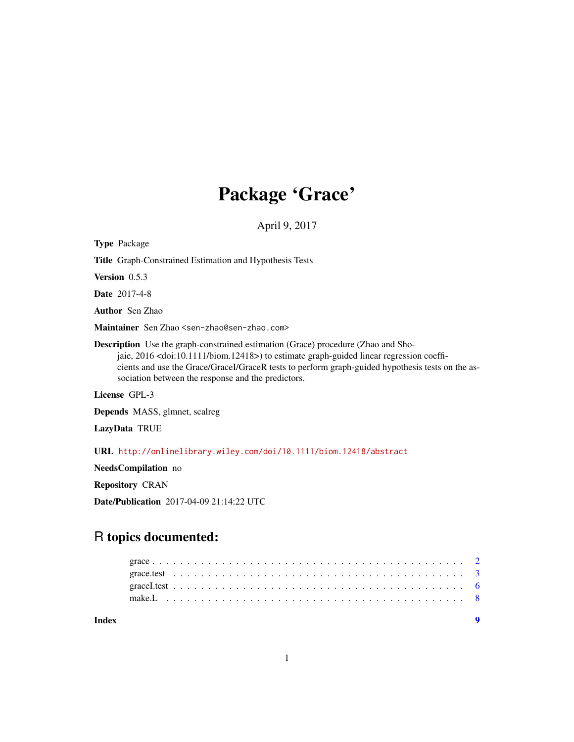# Package 'Grace'

April 9, 2017

| <b>Type Package</b>                                                                                                                                                                                                                                                                                                                            |
|------------------------------------------------------------------------------------------------------------------------------------------------------------------------------------------------------------------------------------------------------------------------------------------------------------------------------------------------|
| <b>Title</b> Graph-Constrained Estimation and Hypothesis Tests                                                                                                                                                                                                                                                                                 |
| <b>Version</b> $0.5.3$                                                                                                                                                                                                                                                                                                                         |
| <b>Date</b> 2017-4-8                                                                                                                                                                                                                                                                                                                           |
| <b>Author</b> Sen Zhao                                                                                                                                                                                                                                                                                                                         |
| Maintainer Sen Zhao <sen-zhao@sen-zhao.com></sen-zhao@sen-zhao.com>                                                                                                                                                                                                                                                                            |
| <b>Description</b> Use the graph-constrained estimation (Grace) procedure (Zhao and Sho-<br>jaie, 2016 < doi:10.1111/biom.12418>) to estimate graph-guided linear regression coeffi-<br>cients and use the Grace/GraceI/GraceR tests to perform graph-guided hypothesis tests on the as-<br>sociation between the response and the predictors. |
| License GPL-3                                                                                                                                                                                                                                                                                                                                  |
| <b>Depends</b> MASS, glmnet, scalreg                                                                                                                                                                                                                                                                                                           |
| LazyData TRUE                                                                                                                                                                                                                                                                                                                                  |
| URL http://onlinelibrary.wiley.com/doi/10.1111/biom.12418/abstract                                                                                                                                                                                                                                                                             |
| <b>NeedsCompilation</b> no                                                                                                                                                                                                                                                                                                                     |

Repository CRAN

Date/Publication 2017-04-09 21:14:22 UTC

# R topics documented: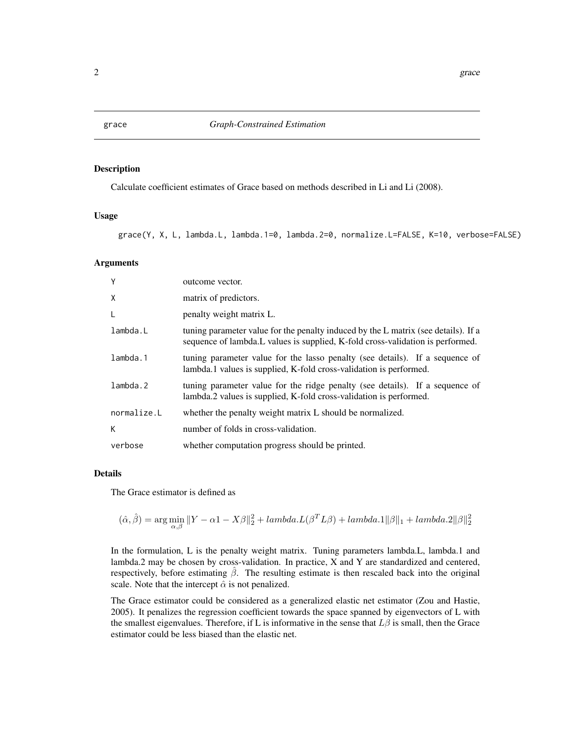<span id="page-1-0"></span>

#### Description

Calculate coefficient estimates of Grace based on methods described in Li and Li (2008).

# Usage

grace(Y, X, L, lambda.L, lambda.1=0, lambda.2=0, normalize.L=FALSE, K=10, verbose=FALSE)

# Arguments

| Y           | outcome vector.                                                                                                                                                       |
|-------------|-----------------------------------------------------------------------------------------------------------------------------------------------------------------------|
| X           | matrix of predictors.                                                                                                                                                 |
| L           | penalty weight matrix L.                                                                                                                                              |
| lambda.L    | tuning parameter value for the penalty induced by the L matrix (see details). If a<br>sequence of lambda. L values is supplied, K-fold cross-validation is performed. |
| lambda.1    | tuning parameter value for the lasso penalty (see details). If a sequence of<br>lambda.1 values is supplied, K-fold cross-validation is performed.                    |
| lambda.2    | tuning parameter value for the ridge penalty (see details). If a sequence of<br>lambda.2 values is supplied, K-fold cross-validation is performed.                    |
| normalize.L | whether the penalty weight matrix L should be normalized.                                                                                                             |
| К           | number of folds in cross-validation.                                                                                                                                  |
| verbose     | whether computation progress should be printed.                                                                                                                       |

### Details

The Grace estimator is defined as

$$
(\hat{\alpha}, \hat{\beta}) = \arg\min_{\alpha, \beta} \|Y - \alpha \mathbf{1} - X\beta\|_2^2 + lambda \cdot L(\beta^T L \beta) + lambda \cdot \mathbf{1}\|\beta\|_1 + lambda \cdot 2\|\beta\|_2^2
$$

In the formulation, L is the penalty weight matrix. Tuning parameters lambda.L, lambda.1 and lambda.2 may be chosen by cross-validation. In practice, X and Y are standardized and centered, respectively, before estimating  $\hat{\beta}$ . The resulting estimate is then rescaled back into the original scale. Note that the intercept  $\hat{\alpha}$  is not penalized.

The Grace estimator could be considered as a generalized elastic net estimator (Zou and Hastie, 2005). It penalizes the regression coefficient towards the space spanned by eigenvectors of L with the smallest eigenvalues. Therefore, if L is informative in the sense that  $L\beta$  is small, then the Grace estimator could be less biased than the elastic net.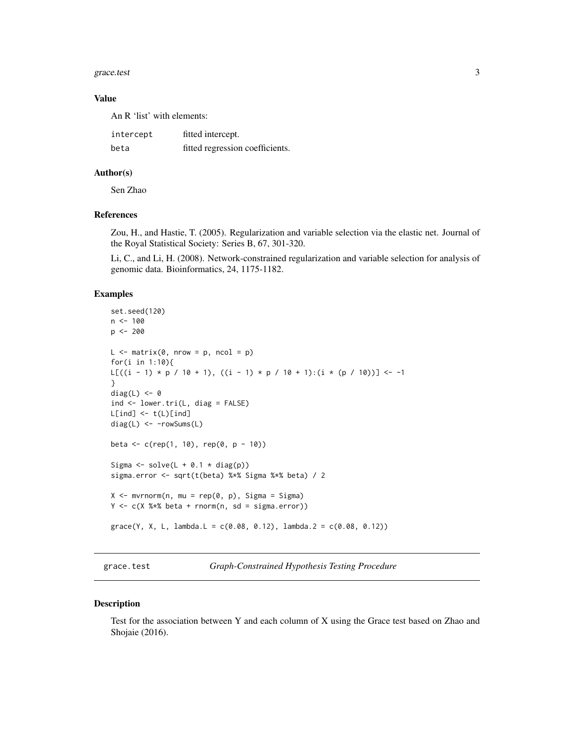#### <span id="page-2-0"></span>grace.test 3

#### Value

An R 'list' with elements:

| intercept | fitted intercept.               |
|-----------|---------------------------------|
| beta      | fitted regression coefficients. |

#### Author(s)

Sen Zhao

## References

Zou, H., and Hastie, T. (2005). Regularization and variable selection via the elastic net. Journal of the Royal Statistical Society: Series B, 67, 301-320.

Li, C., and Li, H. (2008). Network-constrained regularization and variable selection for analysis of genomic data. Bioinformatics, 24, 1175-1182.

#### Examples

```
set.seed(120)
n < - 100p <- 200
L \le - matrix(0, nrow = p, ncol = p)
for(i in 1:10){
L[((i - 1) * p / 10 + 1), ((i - 1) * p / 10 + 1): (i * (p / 10))] <- -1
}
diag(L) <-0ind <- lower.tri(L, diag = FALSE)
L[ind] < -t(L)[ind]diag(L) <- -rowSums(L)
beta \leq c (rep(1, 10), rep(0, p - 10))
Sigma \le solve(L + 0.1 \star diag(p))
sigma.error <- sqrt(t(beta) %*% Sigma %*% beta) / 2
X \le - mvrnorm(n, mu = rep(0, p), Sigma = Sigma)
Y \leftarrow c(X \times X \text{ beta } + \text{norm}(n, sd = sigma_error))\text{grace}(Y, X, L, \text{lambda.L} = c(0.08, 0.12), \text{lambda.2} = c(0.08, 0.12))
```
grace.test *Graph-Constrained Hypothesis Testing Procedure*

#### Description

Test for the association between Y and each column of X using the Grace test based on Zhao and Shojaie (2016).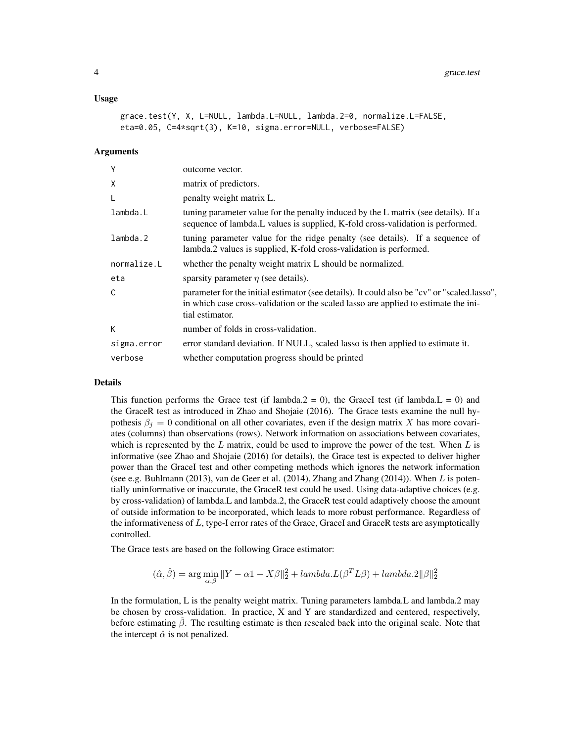#### Usage

```
grace.test(Y, X, L=NULL, lambda.L=NULL, lambda.2=0, normalize.L=FALSE,
eta=0.05, C=4*sqrt(3), K=10, sigma.error=NULL, verbose=FALSE)
```
### **Arguments**

| Y           | outcome vector.                                                                                                                                                                                       |
|-------------|-------------------------------------------------------------------------------------------------------------------------------------------------------------------------------------------------------|
| X           | matrix of predictors.                                                                                                                                                                                 |
| L           | penalty weight matrix L.                                                                                                                                                                              |
| lambda.L    | tuning parameter value for the penalty induced by the L matrix (see details). If a<br>sequence of lambda. L values is supplied, K-fold cross-validation is performed.                                 |
| lambda.2    | tuning parameter value for the ridge penalty (see details). If a sequence of<br>lambda.2 values is supplied, K-fold cross-validation is performed.                                                    |
| normalize.L | whether the penalty weight matrix L should be normalized.                                                                                                                                             |
| eta         | sparsity parameter $\eta$ (see details).                                                                                                                                                              |
| C           | parameter for the initial estimator (see details). It could also be "cv" or "scaled.lasso",<br>in which case cross-validation or the scaled lasso are applied to estimate the ini-<br>tial estimator. |
| К           | number of folds in cross-validation.                                                                                                                                                                  |
| sigma.error | error standard deviation. If NULL, scaled lasso is then applied to estimate it.                                                                                                                       |
| verbose     | whether computation progress should be printed                                                                                                                                                        |

#### Details

This function performs the Grace test (if lambda.2 = 0), the GraceI test (if lambda.L = 0) and the GraceR test as introduced in Zhao and Shojaie (2016). The Grace tests examine the null hypothesis  $\beta_i = 0$  conditional on all other covariates, even if the design matrix X has more covariates (columns) than observations (rows). Network information on associations between covariates, which is represented by the  $L$  matrix, could be used to improve the power of the test. When  $L$  is informative (see Zhao and Shojaie (2016) for details), the Grace test is expected to deliver higher power than the GraceI test and other competing methods which ignores the network information (see e.g. Buhlmann (2013), van de Geer et al. (2014), Zhang and Zhang (2014)). When L is potentially uninformative or inaccurate, the GraceR test could be used. Using data-adaptive choices (e.g. by cross-validation) of lambda.L and lambda.2, the GraceR test could adaptively choose the amount of outside information to be incorporated, which leads to more robust performance. Regardless of the informativeness of  $L$ , type-I error rates of the Grace, GraceI and GraceR tests are asymptotically controlled.

The Grace tests are based on the following Grace estimator:

$$
(\hat{\alpha}, \hat{\beta}) = \arg\min_{\alpha, \beta} \|Y - \alpha \mathbf{1} - X\beta\|_2^2 + lambda.L(\beta^T L \beta) + lambda.2\|\beta\|_2^2
$$

In the formulation, L is the penalty weight matrix. Tuning parameters lambda.L and lambda.2 may be chosen by cross-validation. In practice, X and Y are standardized and centered, respectively, before estimating  $\beta$ . The resulting estimate is then rescaled back into the original scale. Note that the intercept  $\hat{\alpha}$  is not penalized.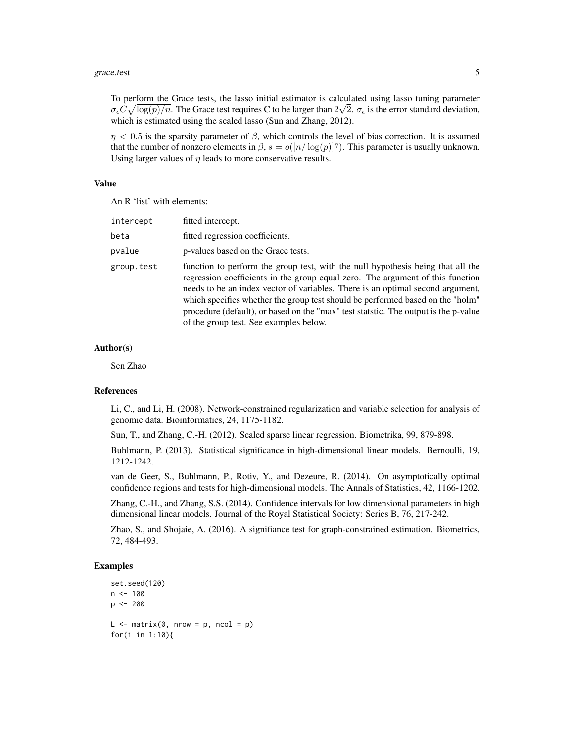To perform the Grace tests, the lasso initial estimator is calculated using lasso tuning parameter  $\sigma_{\epsilon} C \sqrt{\log(p)/n}$ . The Grace test requires C to be larger than  $2\sqrt{2}$ .  $\sigma_{\epsilon}$  is the error standard deviation, which is estimated using the scaled lasso (Sun and Zhang, 2012).

 $\eta$  < 0.5 is the sparsity parameter of  $\beta$ , which controls the level of bias correction. It is assumed that the number of nonzero elements in  $\beta$ ,  $s = o([n/\log(p)]^{\eta})$ . This parameter is usually unknown. Using larger values of  $\eta$  leads to more conservative results.

#### Value

An R 'list' with elements:

| intercept  | fitted intercept.                                                                                                                                                                                                                                                                                                                                                                                                                                                      |
|------------|------------------------------------------------------------------------------------------------------------------------------------------------------------------------------------------------------------------------------------------------------------------------------------------------------------------------------------------------------------------------------------------------------------------------------------------------------------------------|
| beta       | fitted regression coefficients.                                                                                                                                                                                                                                                                                                                                                                                                                                        |
| pvalue     | p-values based on the Grace tests.                                                                                                                                                                                                                                                                                                                                                                                                                                     |
| group.test | function to perform the group test, with the null hypothesis being that all the<br>regression coefficients in the group equal zero. The argument of this function<br>needs to be an index vector of variables. There is an optimal second argument,<br>which specifies whether the group test should be performed based on the "holm"<br>procedure (default), or based on the "max" test statstic. The output is the p-value<br>of the group test. See examples below. |

#### Author(s)

Sen Zhao

# References

Li, C., and Li, H. (2008). Network-constrained regularization and variable selection for analysis of genomic data. Bioinformatics, 24, 1175-1182.

Sun, T., and Zhang, C.-H. (2012). Scaled sparse linear regression. Biometrika, 99, 879-898.

Buhlmann, P. (2013). Statistical significance in high-dimensional linear models. Bernoulli, 19, 1212-1242.

van de Geer, S., Buhlmann, P., Rotiv, Y., and Dezeure, R. (2014). On asymptotically optimal confidence regions and tests for high-dimensional models. The Annals of Statistics, 42, 1166-1202.

Zhang, C.-H., and Zhang, S.S. (2014). Confidence intervals for low dimensional parameters in high dimensional linear models. Journal of the Royal Statistical Society: Series B, 76, 217-242.

Zhao, S., and Shojaie, A. (2016). A signifiance test for graph-constrained estimation. Biometrics, 72, 484-493.

#### Examples

```
set.seed(120)
n < - 100p \le -200L \le - matrix(0, nrow = p, ncol = p)
for(i in 1:10){
```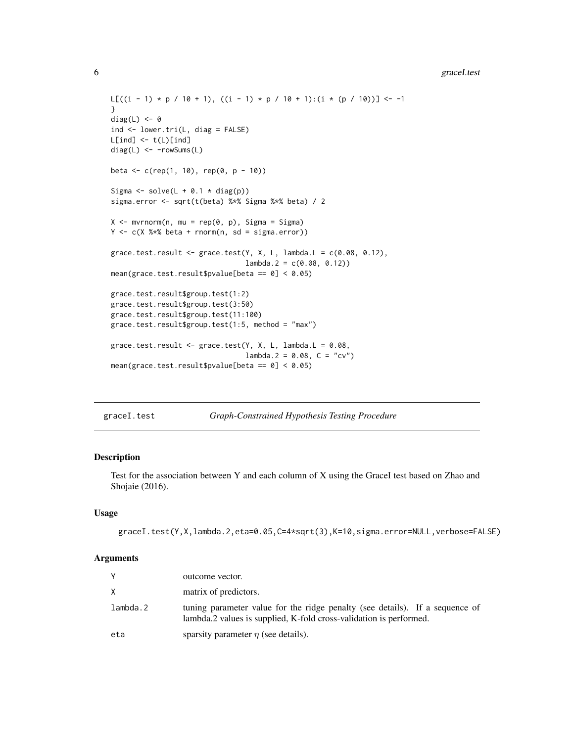```
L[((i - 1) * p / 10 + 1), ((i - 1) * p / 10 + 1):(i * (p / 10))] \leftarrow -1}
diag(L) <-0ind <- lower.tri(L, diag = FALSE)
L[ind] <- t(L)[ind]diag(L) <- -rowSums(L)
beta <- c(rep(1, 10), rep(0, p - 10))
Sigma \le solve(L + 0.1 \star diag(p))
sigma.error <- sqrt(t(beta) %*% Sigma %*% beta) / 2
X \leq -m \text{wronom}(n, mu = rep(0, p), Signa = Signa)Y \leftarrow c(X %* % beta + rnorm(n, sd = sigma_error))grace.test.result <- grace.test(Y, X, L, lambda.L = c(0.08, 0.12),
                                 lambda.2 = c(0.08, 0.12)mean(grace.test.result$pvalue[beta == 0] < 0.05)
grace.test.result$group.test(1:2)
grace.test.result$group.test(3:50)
grace.test.result$group.test(11:100)
grace.test.result$group.test(1:5, method = "max")
grace.test.result <- grace.test(Y, X, L, lambda.L = 0.08,
                                 lambda.2 = 0.08, C = "cv")mean(grace.test.result$pvalue[beta == 0] < 0.05)
```
graceI.test *Graph-Constrained Hypothesis Testing Procedure*

# Description

Test for the association between Y and each column of X using the GraceI test based on Zhao and Shojaie (2016).

# Usage

```
graceI.test(Y,X,lambda.2,eta=0.05,C=4*sqrt(3),K=10,sigma.error=NULL,verbose=FALSE)
```
#### Arguments

|          | outcome vector.                                                                                                                                    |
|----------|----------------------------------------------------------------------------------------------------------------------------------------------------|
| X        | matrix of predictors.                                                                                                                              |
| lambda.2 | tuning parameter value for the ridge penalty (see details). If a sequence of<br>lambda.2 values is supplied, K-fold cross-validation is performed. |
| eta      | sparsity parameter $\eta$ (see details).                                                                                                           |

<span id="page-5-0"></span>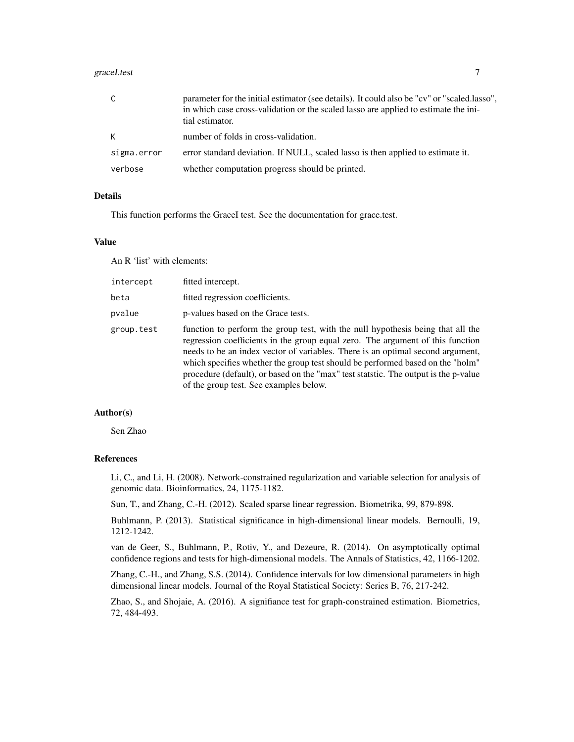#### graceI.test 7

| C           | parameter for the initial estimator (see details). It could also be "cv" or "scaled.lasso",<br>in which case cross-validation or the scaled lasso are applied to estimate the ini-<br>tial estimator. |
|-------------|-------------------------------------------------------------------------------------------------------------------------------------------------------------------------------------------------------|
| K.          | number of folds in cross-validation.                                                                                                                                                                  |
| sigma.error | error standard deviation. If NULL, scaled lasso is then applied to estimate it.                                                                                                                       |
| verbose     | whether computation progress should be printed.                                                                                                                                                       |

# Details

This function performs the GraceI test. See the documentation for grace.test.

#### Value

An R 'list' with elements:

| intercept  | fitted intercept.                                                                                                                                                                                                                                                                                                                                                                                                                                                      |
|------------|------------------------------------------------------------------------------------------------------------------------------------------------------------------------------------------------------------------------------------------------------------------------------------------------------------------------------------------------------------------------------------------------------------------------------------------------------------------------|
| beta       | fitted regression coefficients.                                                                                                                                                                                                                                                                                                                                                                                                                                        |
| pvalue     | p-values based on the Grace tests.                                                                                                                                                                                                                                                                                                                                                                                                                                     |
| group.test | function to perform the group test, with the null hypothesis being that all the<br>regression coefficients in the group equal zero. The argument of this function<br>needs to be an index vector of variables. There is an optimal second argument,<br>which specifies whether the group test should be performed based on the "holm"<br>procedure (default), or based on the "max" test statstic. The output is the p-value<br>of the group test. See examples below. |

### Author(s)

Sen Zhao

# References

Li, C., and Li, H. (2008). Network-constrained regularization and variable selection for analysis of genomic data. Bioinformatics, 24, 1175-1182.

Sun, T., and Zhang, C.-H. (2012). Scaled sparse linear regression. Biometrika, 99, 879-898.

Buhlmann, P. (2013). Statistical significance in high-dimensional linear models. Bernoulli, 19, 1212-1242.

van de Geer, S., Buhlmann, P., Rotiv, Y., and Dezeure, R. (2014). On asymptotically optimal confidence regions and tests for high-dimensional models. The Annals of Statistics, 42, 1166-1202.

Zhang, C.-H., and Zhang, S.S. (2014). Confidence intervals for low dimensional parameters in high dimensional linear models. Journal of the Royal Statistical Society: Series B, 76, 217-242.

Zhao, S., and Shojaie, A. (2016). A signifiance test for graph-constrained estimation. Biometrics, 72, 484-493.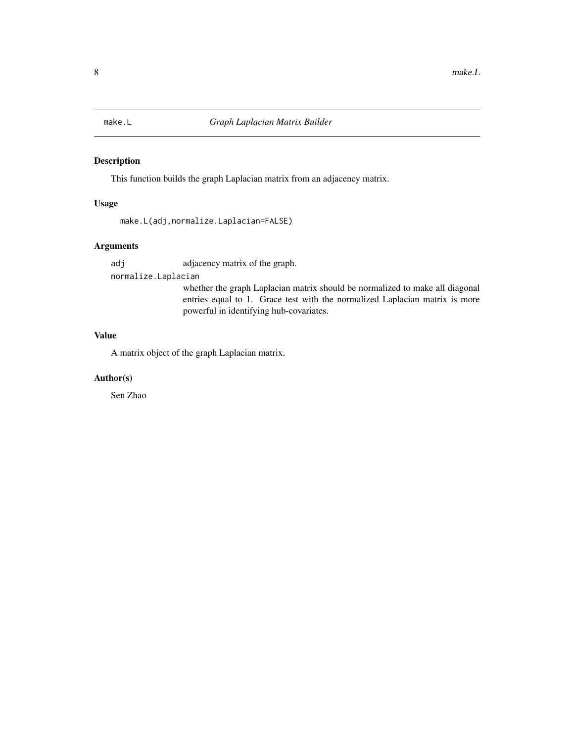<span id="page-7-0"></span>

# Description

This function builds the graph Laplacian matrix from an adjacency matrix.

# Usage

```
make.L(adj,normalize.Laplacian=FALSE)
```
# Arguments

adj adjacency matrix of the graph.

normalize.Laplacian

whether the graph Laplacian matrix should be normalized to make all diagonal entries equal to 1. Grace test with the normalized Laplacian matrix is more powerful in identifying hub-covariates.

# Value

A matrix object of the graph Laplacian matrix.

### Author(s)

Sen Zhao